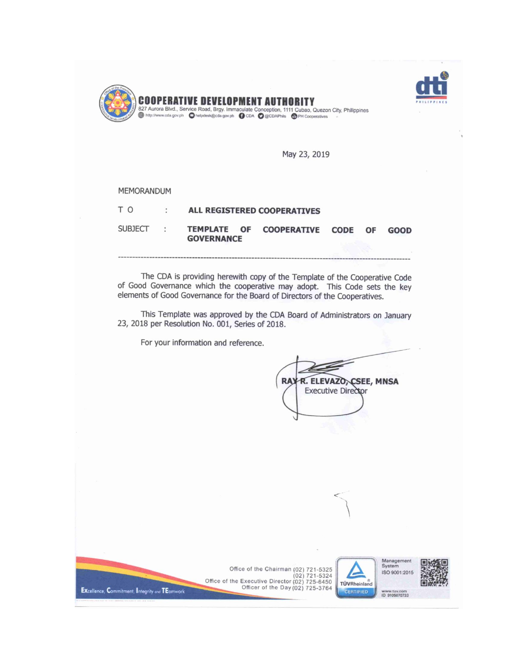



May 23, 2019

#### MEMORANDUM

Excellence, Commitment, Integrity and TEamwork

| ΤO.            | $\bullet$ | ALL REGISTERED COOPERATIVES |                                 |  |  |             |
|----------------|-----------|-----------------------------|---------------------------------|--|--|-------------|
| <b>SUBJECT</b> |           | <b>GOVERNANCE</b>           | TEMPLATE OF COOPERATIVE CODE OF |  |  | <b>GOOD</b> |
|                |           |                             |                                 |  |  |             |

The CDA is providing herewith copy of the Template of the Cooperative Code of Good Governance which the cooperative may adopt. This Code sets the key elements of Good Governance for the Board of Directors of the Cooperatives.

This Template was approved by the CDA Board of Administrators on January 23, 2018 per Resolution No. 001, Series of 2018.

Office of the Chairman (02) 721-5325

Office of the Executive Director (02)  $721-5324$ <br>Office of the Executive Director (02)  $725-6450$ <br>Officer of the Day (02)  $725-3764$ 

For your information and reference.

**RA)** R. ELEVAZO, CSEE, MNSA **Executive Director** 



www.tuv.com<br>ID 9105070733

7-TÜVRheinland

**CERTIFIED**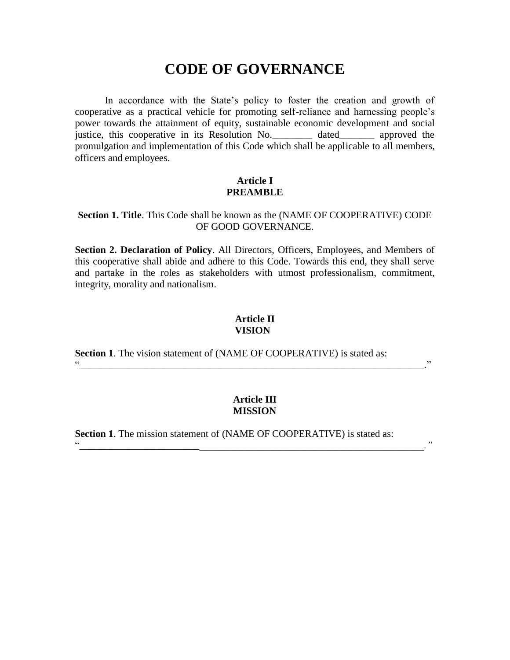# **CODE OF GOVERNANCE**

In accordance with the State's policy to foster the creation and growth of cooperative as a practical vehicle for promoting self-reliance and harnessing people's power towards the attainment of equity, sustainable economic development and social justice, this cooperative in its Resolution No.\_\_\_\_\_\_\_\_ dated\_\_\_\_\_\_\_ approved the promulgation and implementation of this Code which shall be applicable to all members, officers and employees.

## **Article I PREAMBLE**

#### **Section 1. Title**. This Code shall be known as the (NAME OF COOPERATIVE) CODE OF GOOD GOVERNANCE.

**Section 2. Declaration of Policy**. All Directors, Officers, Employees, and Members of this cooperative shall abide and adhere to this Code. Towards this end, they shall serve and partake in the roles as stakeholders with utmost professionalism, commitment, integrity, morality and nationalism.

## **Article II VISION**

**Section 1**. The vision statement of (NAME OF COOPERATIVE) is stated as:

## **Article III MISSION**

"*\_\_\_\_\_\_\_\_\_\_\_\_\_\_\_\_\_\_\_\_\_\_\_\_\_\_\_\_\_\_\_\_\_\_\_\_\_\_\_\_\_\_\_\_\_\_\_\_\_\_\_\_\_\_\_\_\_\_\_\_\_\_\_\_\_\_\_\_\_."*

"*\_\_\_\_\_\_\_\_\_\_\_\_\_\_\_\_\_\_\_\_\_\_\_\_\_\_\_\_\_\_\_\_\_\_\_\_\_\_\_\_\_\_\_\_\_\_\_\_\_\_\_\_\_\_\_\_\_\_\_\_\_\_\_\_\_\_\_\_\_.*"

**Section 1**. The mission statement of (NAME OF COOPERATIVE) is stated as: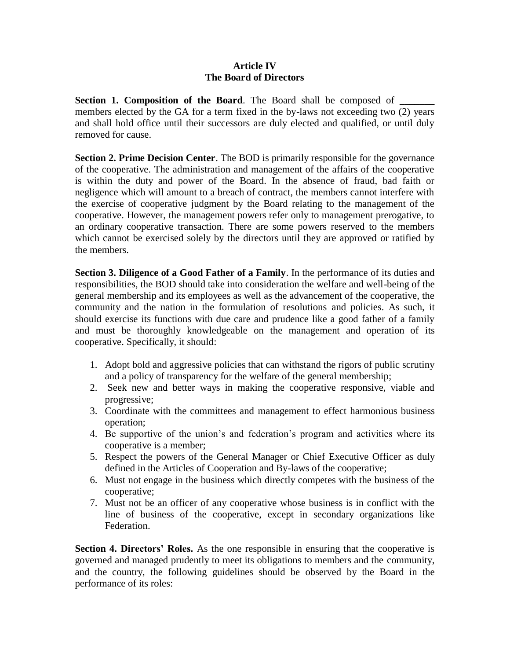## **Article IV The Board of Directors**

**Section 1. Composition of the Board.** The Board shall be composed of \_\_\_\_\_\_\_\_\_ members elected by the GA for a term fixed in the by-laws not exceeding two (2) years and shall hold office until their successors are duly elected and qualified, or until duly removed for cause.

**Section 2. Prime Decision Center**. The BOD is primarily responsible for the governance of the cooperative. The administration and management of the affairs of the cooperative is within the duty and power of the Board. In the absence of fraud, bad faith or negligence which will amount to a breach of contract, the members cannot interfere with the exercise of cooperative judgment by the Board relating to the management of the cooperative. However, the management powers refer only to management prerogative, to an ordinary cooperative transaction. There are some powers reserved to the members which cannot be exercised solely by the directors until they are approved or ratified by the members.

**Section 3. Diligence of a Good Father of a Family**. In the performance of its duties and responsibilities, the BOD should take into consideration the welfare and well-being of the general membership and its employees as well as the advancement of the cooperative, the community and the nation in the formulation of resolutions and policies. As such, it should exercise its functions with due care and prudence like a good father of a family and must be thoroughly knowledgeable on the management and operation of its cooperative. Specifically, it should:

- 1. Adopt bold and aggressive policies that can withstand the rigors of public scrutiny and a policy of transparency for the welfare of the general membership;
- 2. Seek new and better ways in making the cooperative responsive, viable and progressive;
- 3. Coordinate with the committees and management to effect harmonious business operation;
- 4. Be supportive of the union's and federation's program and activities where its cooperative is a member;
- 5. Respect the powers of the General Manager or Chief Executive Officer as duly defined in the Articles of Cooperation and By-laws of the cooperative;
- 6. Must not engage in the business which directly competes with the business of the cooperative;
- 7. Must not be an officer of any cooperative whose business is in conflict with the line of business of the cooperative, except in secondary organizations like Federation.

**Section 4. Directors' Roles.** As the one responsible in ensuring that the cooperative is governed and managed prudently to meet its obligations to members and the community, and the country, the following guidelines should be observed by the Board in the performance of its roles: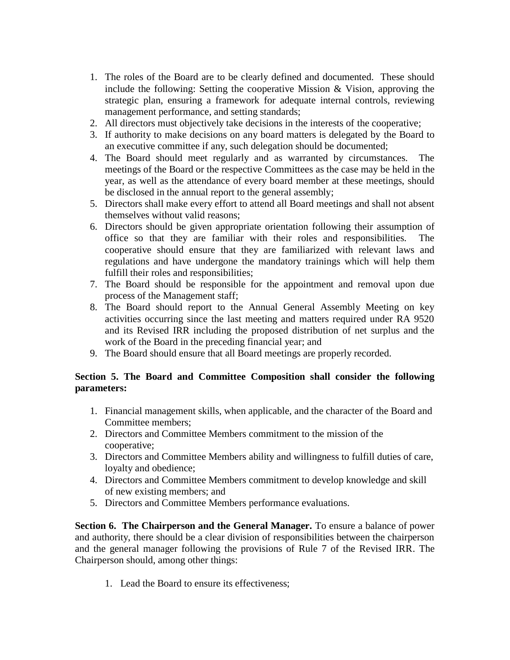- 1. The roles of the Board are to be clearly defined and documented. These should include the following: Setting the cooperative Mission & Vision, approving the strategic plan, ensuring a framework for adequate internal controls, reviewing management performance, and setting standards;
- 2. All directors must objectively take decisions in the interests of the cooperative;
- 3. If authority to make decisions on any board matters is delegated by the Board to an executive committee if any, such delegation should be documented;
- 4. The Board should meet regularly and as warranted by circumstances. The meetings of the Board or the respective Committees as the case may be held in the year, as well as the attendance of every board member at these meetings, should be disclosed in the annual report to the general assembly;
- 5. Directors shall make every effort to attend all Board meetings and shall not absent themselves without valid reasons;
- 6. Directors should be given appropriate orientation following their assumption of office so that they are familiar with their roles and responsibilities. The cooperative should ensure that they are familiarized with relevant laws and regulations and have undergone the mandatory trainings which will help them fulfill their roles and responsibilities;
- 7. The Board should be responsible for the appointment and removal upon due process of the Management staff;
- 8. The Board should report to the Annual General Assembly Meeting on key activities occurring since the last meeting and matters required under RA 9520 and its Revised IRR including the proposed distribution of net surplus and the work of the Board in the preceding financial year; and
- 9. The Board should ensure that all Board meetings are properly recorded.

## **Section 5. The Board and Committee Composition shall consider the following parameters:**

- 1. Financial management skills, when applicable, and the character of the Board and Committee members;
- 2. Directors and Committee Members commitment to the mission of the cooperative;
- 3. Directors and Committee Members ability and willingness to fulfill duties of care, loyalty and obedience;
- 4. Directors and Committee Members commitment to develop knowledge and skill of new existing members; and
- 5. Directors and Committee Members performance evaluations.

**Section 6. The Chairperson and the General Manager.** To ensure a balance of power and authority, there should be a clear division of responsibilities between the chairperson and the general manager following the provisions of Rule 7 of the Revised IRR. The Chairperson should, among other things:

1. Lead the Board to ensure its effectiveness;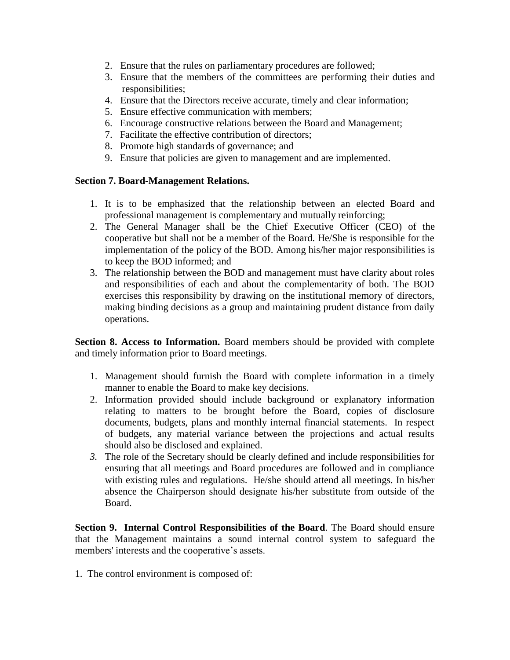- 2. Ensure that the rules on parliamentary procedures are followed;
- 3. Ensure that the members of the committees are performing their duties and responsibilities;
- 4. Ensure that the Directors receive accurate, timely and clear information;
- 5. Ensure effective communication with members;
- 6. Encourage constructive relations between the Board and Management;
- 7. Facilitate the effective contribution of directors;
- 8. Promote high standards of governance; and
- 9. Ensure that policies are given to management and are implemented.

## **Section 7. Board-Management Relations.**

- 1. It is to be emphasized that the relationship between an elected Board and professional management is complementary and mutually reinforcing;
- 2. The General Manager shall be the Chief Executive Officer (CEO) of the cooperative but shall not be a member of the Board. He/She is responsible for the implementation of the policy of the BOD. Among his/her major responsibilities is to keep the BOD informed; and
- 3. The relationship between the BOD and management must have clarity about roles and responsibilities of each and about the complementarity of both. The BOD exercises this responsibility by drawing on the institutional memory of directors, making binding decisions as a group and maintaining prudent distance from daily operations.

**Section 8. Access to Information.** Board members should be provided with complete and timely information prior to Board meetings.

- 1. Management should furnish the Board with complete information in a timely manner to enable the Board to make key decisions.
- 2. Information provided should include background or explanatory information relating to matters to be brought before the Board, copies of disclosure documents, budgets, plans and monthly internal financial statements. In respect of budgets, any material variance between the projections and actual results should also be disclosed and explained.
- *3.* The role of the Secretary should be clearly defined and include responsibilities for ensuring that all meetings and Board procedures are followed and in compliance with existing rules and regulations. He/she should attend all meetings. In his/her absence the Chairperson should designate his/her substitute from outside of the Board.

**Section 9. Internal Control Responsibilities of the Board**. The Board should ensure that the Management maintains a sound internal control system to safeguard the members' interests and the cooperative's assets.

1. The control environment is composed of: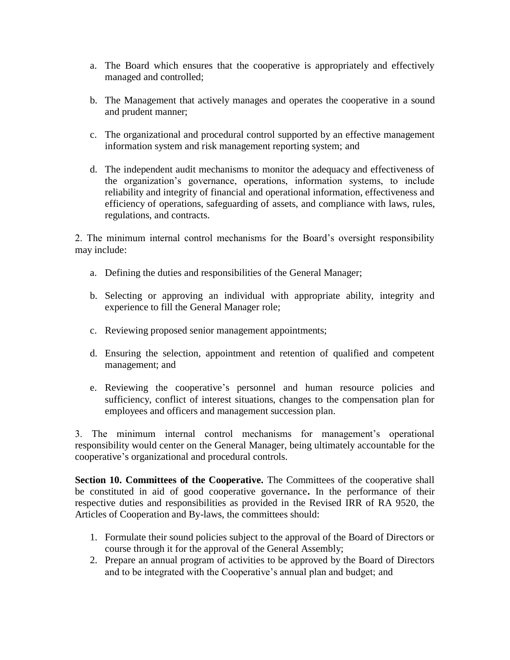- a. The Board which ensures that the cooperative is appropriately and effectively managed and controlled;
- b. The Management that actively manages and operates the cooperative in a sound and prudent manner;
- c. The organizational and procedural control supported by an effective management information system and risk management reporting system; and
- d. The independent audit mechanisms to monitor the adequacy and effectiveness of the organization's governance, operations, information systems, to include reliability and integrity of financial and operational information, effectiveness and efficiency of operations, safeguarding of assets, and compliance with laws, rules, regulations, and contracts.

2. The minimum internal control mechanisms for the Board's oversight responsibility may include:

- a. Defining the duties and responsibilities of the General Manager;
- b. Selecting or approving an individual with appropriate ability, integrity and experience to fill the General Manager role;
- c. Reviewing proposed senior management appointments;
- d. Ensuring the selection, appointment and retention of qualified and competent management; and
- e. Reviewing the cooperative's personnel and human resource policies and sufficiency, conflict of interest situations, changes to the compensation plan for employees and officers and management succession plan.

3. The minimum internal control mechanisms for management's operational responsibility would center on the General Manager, being ultimately accountable for the cooperative's organizational and procedural controls.

**Section 10. Committees of the Cooperative.** The Committees of the cooperative shall be constituted in aid of good cooperative governance**.** In the performance of their respective duties and responsibilities as provided in the Revised IRR of RA 9520, the Articles of Cooperation and By-laws, the committees should:

- 1. Formulate their sound policies subject to the approval of the Board of Directors or course through it for the approval of the General Assembly;
- 2. Prepare an annual program of activities to be approved by the Board of Directors and to be integrated with the Cooperative's annual plan and budget; and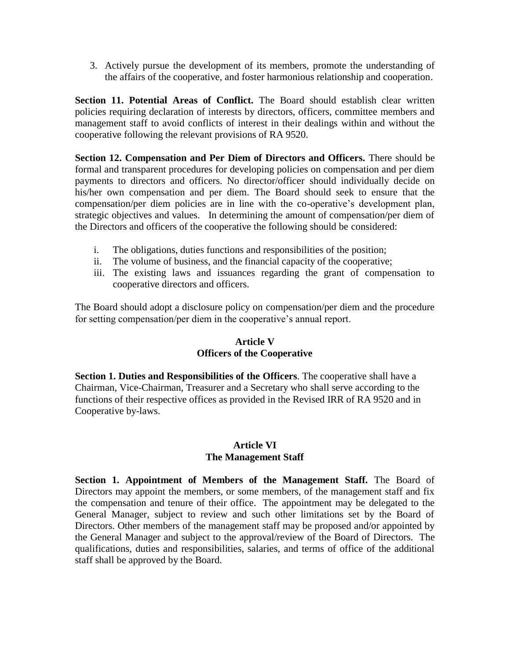3. Actively pursue the development of its members, promote the understanding of the affairs of the cooperative, and foster harmonious relationship and cooperation.

**Section 11. Potential Areas of Conflict.** The Board should establish clear written policies requiring declaration of interests by directors, officers, committee members and management staff to avoid conflicts of interest in their dealings within and without the cooperative following the relevant provisions of RA 9520.

**Section 12. Compensation and Per Diem of Directors and Officers.** There should be formal and transparent procedures for developing policies on compensation and per diem payments to directors and officers. No director/officer should individually decide on his/her own compensation and per diem. The Board should seek to ensure that the compensation/per diem policies are in line with the co-operative's development plan, strategic objectives and values. In determining the amount of compensation/per diem of the Directors and officers of the cooperative the following should be considered:

- i. The obligations, duties functions and responsibilities of the position;
- ii. The volume of business, and the financial capacity of the cooperative;
- iii. The existing laws and issuances regarding the grant of compensation to cooperative directors and officers.

The Board should adopt a disclosure policy on compensation/per diem and the procedure for setting compensation/per diem in the cooperative's annual report.

## **Article V Officers of the Cooperative**

**Section 1. Duties and Responsibilities of the Officers**. The cooperative shall have a Chairman, Vice-Chairman, Treasurer and a Secretary who shall serve according to the functions of their respective offices as provided in the Revised IRR of RA 9520 and in Cooperative by-laws.

## **Article VI The Management Staff**

**Section 1. Appointment of Members of the Management Staff.** The Board of Directors may appoint the members, or some members, of the management staff and fix the compensation and tenure of their office. The appointment may be delegated to the General Manager, subject to review and such other limitations set by the Board of Directors. Other members of the management staff may be proposed and/or appointed by the General Manager and subject to the approval/review of the Board of Directors. The qualifications, duties and responsibilities, salaries, and terms of office of the additional staff shall be approved by the Board.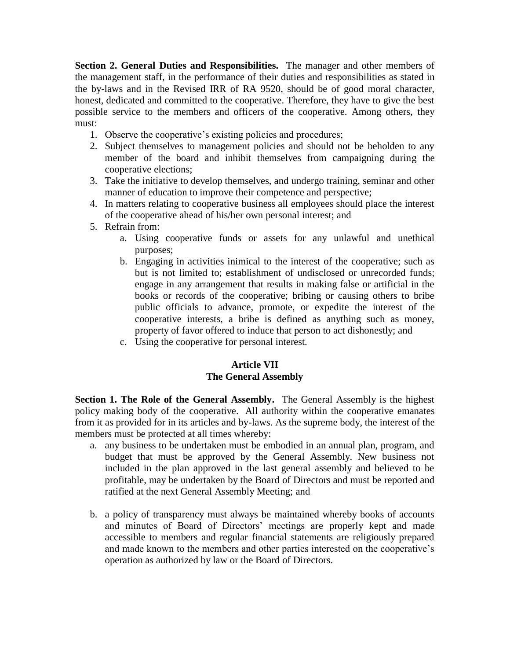**Section 2. General Duties and Responsibilities.** The manager and other members of the management staff, in the performance of their duties and responsibilities as stated in the by-laws and in the Revised IRR of RA 9520, should be of good moral character, honest, dedicated and committed to the cooperative. Therefore, they have to give the best possible service to the members and officers of the cooperative. Among others, they must:

- 1. Observe the cooperative's existing policies and procedures;
- 2. Subject themselves to management policies and should not be beholden to any member of the board and inhibit themselves from campaigning during the cooperative elections;
- 3. Take the initiative to develop themselves, and undergo training, seminar and other manner of education to improve their competence and perspective;
- 4. In matters relating to cooperative business all employees should place the interest of the cooperative ahead of his/her own personal interest; and
- 5. Refrain from:
	- a. Using cooperative funds or assets for any unlawful and unethical purposes;
	- b. Engaging in activities inimical to the interest of the cooperative; such as but is not limited to; establishment of undisclosed or unrecorded funds; engage in any arrangement that results in making false or artificial in the books or records of the cooperative; bribing or causing others to bribe public officials to advance, promote, or expedite the interest of the cooperative interests, a bribe is defined as anything such as money, property of favor offered to induce that person to act dishonestly; and
	- c. Using the cooperative for personal interest.

## **Article VII The General Assembly**

**Section 1. The Role of the General Assembly.** The General Assembly is the highest policy making body of the cooperative. All authority within the cooperative emanates from it as provided for in its articles and by-laws. As the supreme body, the interest of the members must be protected at all times whereby:

- a. any business to be undertaken must be embodied in an annual plan, program, and budget that must be approved by the General Assembly. New business not included in the plan approved in the last general assembly and believed to be profitable, may be undertaken by the Board of Directors and must be reported and ratified at the next General Assembly Meeting; and
- b. a policy of transparency must always be maintained whereby books of accounts and minutes of Board of Directors' meetings are properly kept and made accessible to members and regular financial statements are religiously prepared and made known to the members and other parties interested on the cooperative's operation as authorized by law or the Board of Directors.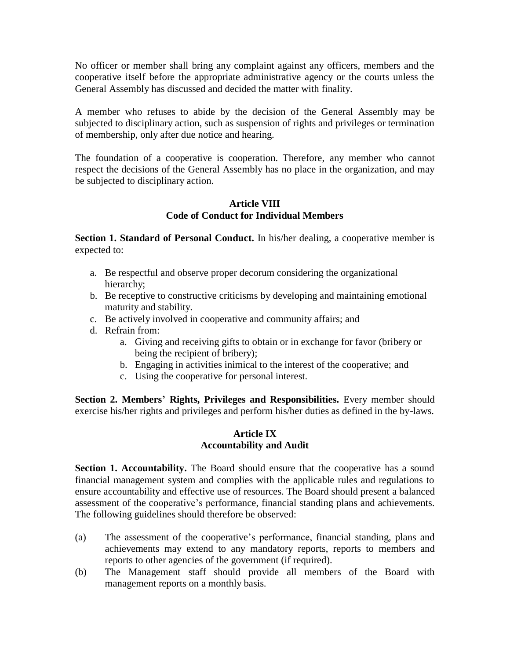No officer or member shall bring any complaint against any officers, members and the cooperative itself before the appropriate administrative agency or the courts unless the General Assembly has discussed and decided the matter with finality.

A member who refuses to abide by the decision of the General Assembly may be subjected to disciplinary action, such as suspension of rights and privileges or termination of membership, only after due notice and hearing.

The foundation of a cooperative is cooperation. Therefore, any member who cannot respect the decisions of the General Assembly has no place in the organization, and may be subjected to disciplinary action.

## **Article VIII Code of Conduct for Individual Members**

**Section 1. Standard of Personal Conduct.** In his/her dealing, a cooperative member is expected to:

- a. Be respectful and observe proper decorum considering the organizational hierarchy;
- b. Be receptive to constructive criticisms by developing and maintaining emotional maturity and stability.
- c. Be actively involved in cooperative and community affairs; and
- d. Refrain from:
	- a. Giving and receiving gifts to obtain or in exchange for favor (bribery or being the recipient of bribery);
	- b. Engaging in activities inimical to the interest of the cooperative; and
	- c. Using the cooperative for personal interest.

**Section 2. Members' Rights, Privileges and Responsibilities.** Every member should exercise his/her rights and privileges and perform his/her duties as defined in the by-laws.

## **Article IX Accountability and Audit**

**Section 1. Accountability.** The Board should ensure that the cooperative has a sound financial management system and complies with the applicable rules and regulations to ensure accountability and effective use of resources. The Board should present a balanced assessment of the cooperative's performance, financial standing plans and achievements. The following guidelines should therefore be observed:

- (a) The assessment of the cooperative's performance, financial standing, plans and achievements may extend to any mandatory reports, reports to members and reports to other agencies of the government (if required).
- (b) The Management staff should provide all members of the Board with management reports on a monthly basis.